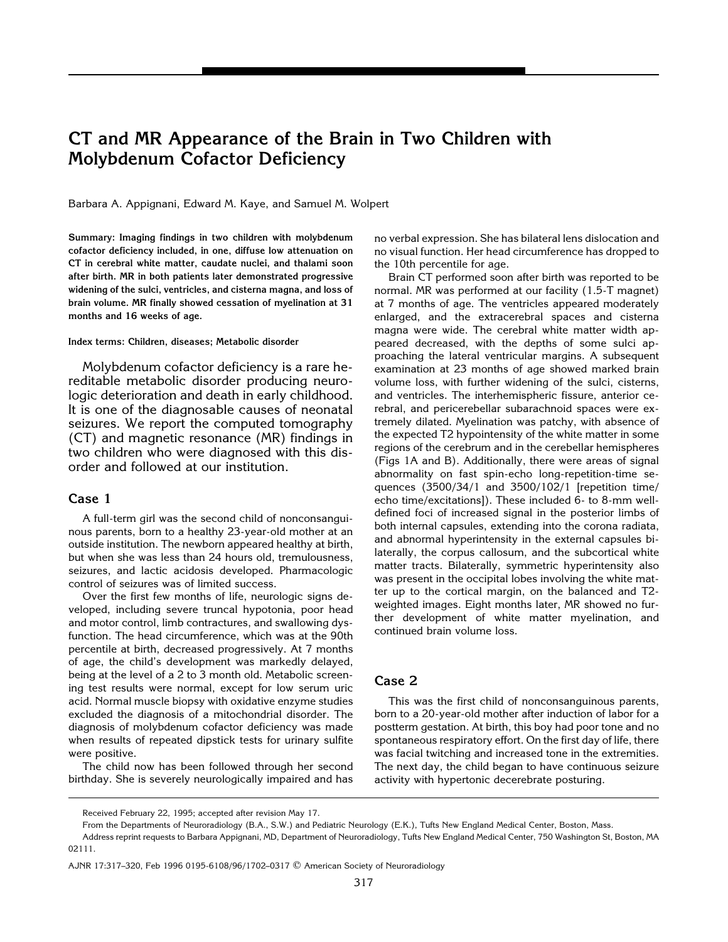# **CT and MR Appearance of the Brain in Two Children with Molybdenum Cofactor Deficiency**

Barbara A. Appignani, Edward M. Kaye, and Samuel M. Wolpert

**Summary: Imaging findings in two children with molybdenum cofactor deficiency included, in one, diffuse low attenuation on CT in cerebral white matter, caudate nuclei, and thalami soon after birth. MR in both patients later demonstrated progressive widening of the sulci, ventricles, and cisterna magna, and loss of brain volume. MR finally showed cessation of myelination at 31 months and 16 weeks of age.**

#### **Index terms: Children, diseases; Metabolic disorder**

Molybdenum cofactor deficiency is a rare hereditable metabolic disorder producing neurologic deterioration and death in early childhood. It is one of the diagnosable causes of neonatal seizures. We report the computed tomography (CT) and magnetic resonance (MR) findings in two children who were diagnosed with this disorder and followed at our institution.

# **Case 1**

A full-term girl was the second child of nonconsanguinous parents, born to a healthy 23-year-old mother at an outside institution. The newborn appeared healthy at birth, but when she was less than 24 hours old, tremulousness, seizures, and lactic acidosis developed. Pharmacologic control of seizures was of limited success.

Over the first few months of life, neurologic signs developed, including severe truncal hypotonia, poor head and motor control, limb contractures, and swallowing dysfunction. The head circumference, which was at the 90th percentile at birth, decreased progressively. At 7 months of age, the child's development was markedly delayed, being at the level of a 2 to 3 month old. Metabolic screening test results were normal, except for low serum uric acid. Normal muscle biopsy with oxidative enzyme studies excluded the diagnosis of a mitochondrial disorder. The diagnosis of molybdenum cofactor deficiency was made when results of repeated dipstick tests for urinary sulfite were positive.

The child now has been followed through her second birthday. She is severely neurologically impaired and has no verbal expression. She has bilateral lens dislocation and no visual function. Her head circumference has dropped to the 10th percentile for age.

Brain CT performed soon after birth was reported to be normal. MR was performed at our facility (1.5-T magnet) at 7 months of age. The ventricles appeared moderately enlarged, and the extracerebral spaces and cisterna magna were wide. The cerebral white matter width appeared decreased, with the depths of some sulci approaching the lateral ventricular margins. A subsequent examination at 23 months of age showed marked brain volume loss, with further widening of the sulci, cisterns, and ventricles. The interhemispheric fissure, anterior cerebral, and pericerebellar subarachnoid spaces were extremely dilated. Myelination was patchy, with absence of the expected T2 hypointensity of the white matter in some regions of the cerebrum and in the cerebellar hemispheres (Figs 1A and B). Additionally, there were areas of signal abnormality on fast spin-echo long-repetition-time sequences (3500/34/1 and 3500/102/1 [repetition time/ echo time/excitations]). These included 6- to 8-mm welldefined foci of increased signal in the posterior limbs of both internal capsules, extending into the corona radiata, and abnormal hyperintensity in the external capsules bilaterally, the corpus callosum, and the subcortical white matter tracts. Bilaterally, symmetric hyperintensity also was present in the occipital lobes involving the white matter up to the cortical margin, on the balanced and T2 weighted images. Eight months later, MR showed no further development of white matter myelination, and continued brain volume loss.

### **Case 2**

This was the first child of nonconsanguinous parents, born to a 20-year-old mother after induction of labor for a postterm gestation. At birth, this boy had poor tone and no spontaneous respiratory effort. On the first day of life, there was facial twitching and increased tone in the extremities. The next day, the child began to have continuous seizure activity with hypertonic decerebrate posturing.

Received February 22, 1995; accepted after revision May 17.

From the Departments of Neuroradiology (B.A., S.W.) and Pediatric Neurology (E.K.), Tufts New England Medical Center, Boston, Mass.

Address reprint requests to Barbara Appignani, MD, Department of Neuroradiology, Tufts New England Medical Center, 750 Washington St, Boston, MA 02111.

AJNR 17:317–320, Feb 1996 0195-6108/96/1702–0317 q American Society of Neuroradiology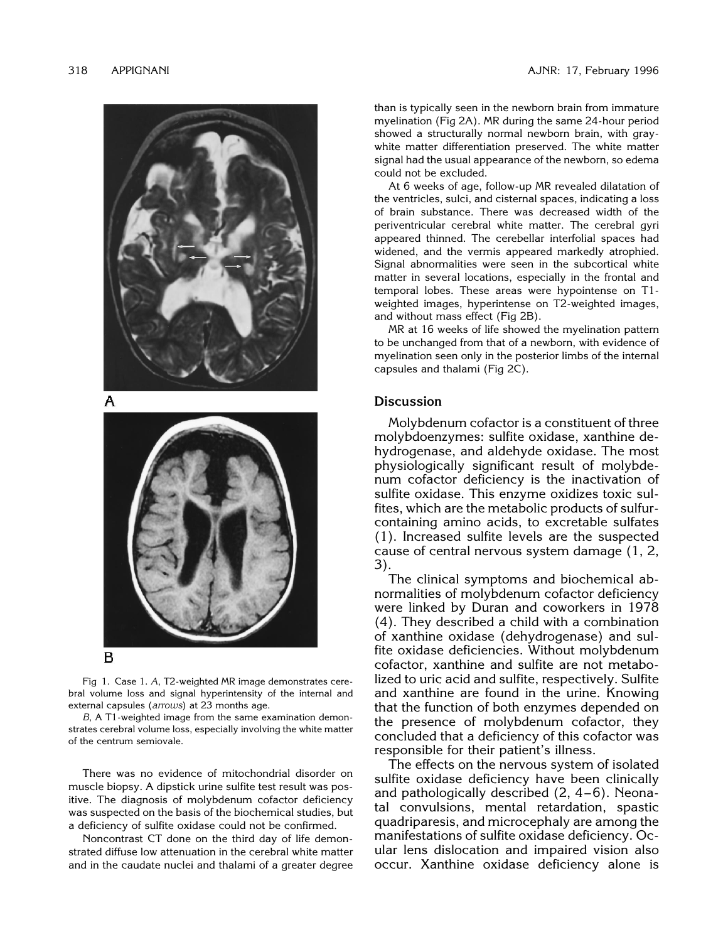

Fig 1. Case 1. *A*, T2-weighted MR image demonstrates cerebral volume loss and signal hyperintensity of the internal and external capsules (*arrows*) at 23 months age.

*B*, A T1-weighted image from the same examination demonstrates cerebral volume loss, especially involving the white matter of the centrum semiovale.

There was no evidence of mitochondrial disorder on muscle biopsy. A dipstick urine sulfite test result was positive. The diagnosis of molybdenum cofactor deficiency was suspected on the basis of the biochemical studies, but a deficiency of sulfite oxidase could not be confirmed.

Noncontrast CT done on the third day of life demonstrated diffuse low attenuation in the cerebral white matter and in the caudate nuclei and thalami of a greater degree than is typically seen in the newborn brain from immature myelination (Fig 2A). MR during the same 24-hour period showed a structurally normal newborn brain, with graywhite matter differentiation preserved. The white matter signal had the usual appearance of the newborn, so edema could not be excluded.

At 6 weeks of age, follow-up MR revealed dilatation of the ventricles, sulci, and cisternal spaces, indicating a loss of brain substance. There was decreased width of the periventricular cerebral white matter. The cerebral gyri appeared thinned. The cerebellar interfolial spaces had widened, and the vermis appeared markedly atrophied. Signal abnormalities were seen in the subcortical white matter in several locations, especially in the frontal and temporal lobes. These areas were hypointense on T1 weighted images, hyperintense on T2-weighted images, and without mass effect (Fig 2B).

MR at 16 weeks of life showed the myelination pattern to be unchanged from that of a newborn, with evidence of myelination seen only in the posterior limbs of the internal capsules and thalami (Fig 2C).

#### **Discussion**

Molybdenum cofactor is a constituent of three molybdoenzymes: sulfite oxidase, xanthine dehydrogenase, and aldehyde oxidase. The most physiologically significant result of molybdenum cofactor deficiency is the inactivation of sulfite oxidase. This enzyme oxidizes toxic sulfites, which are the metabolic products of sulfurcontaining amino acids, to excretable sulfates (1). Increased sulfite levels are the suspected cause of central nervous system damage (1, 2, 3).

The clinical symptoms and biochemical abnormalities of molybdenum cofactor deficiency were linked by Duran and coworkers in 1978 (4). They described a child with a combination of xanthine oxidase (dehydrogenase) and sulfite oxidase deficiencies. Without molybdenum cofactor, xanthine and sulfite are not metabolized to uric acid and sulfite, respectively. Sulfite and xanthine are found in the urine. Knowing that the function of both enzymes depended on the presence of molybdenum cofactor, they concluded that a deficiency of this cofactor was responsible for their patient's illness.

The effects on the nervous system of isolated sulfite oxidase deficiency have been clinically and pathologically described  $(2, 4-6)$ . Neonatal convulsions, mental retardation, spastic quadriparesis, and microcephaly are among the manifestations of sulfite oxidase deficiency. Ocular lens dislocation and impaired vision also occur. Xanthine oxidase deficiency alone is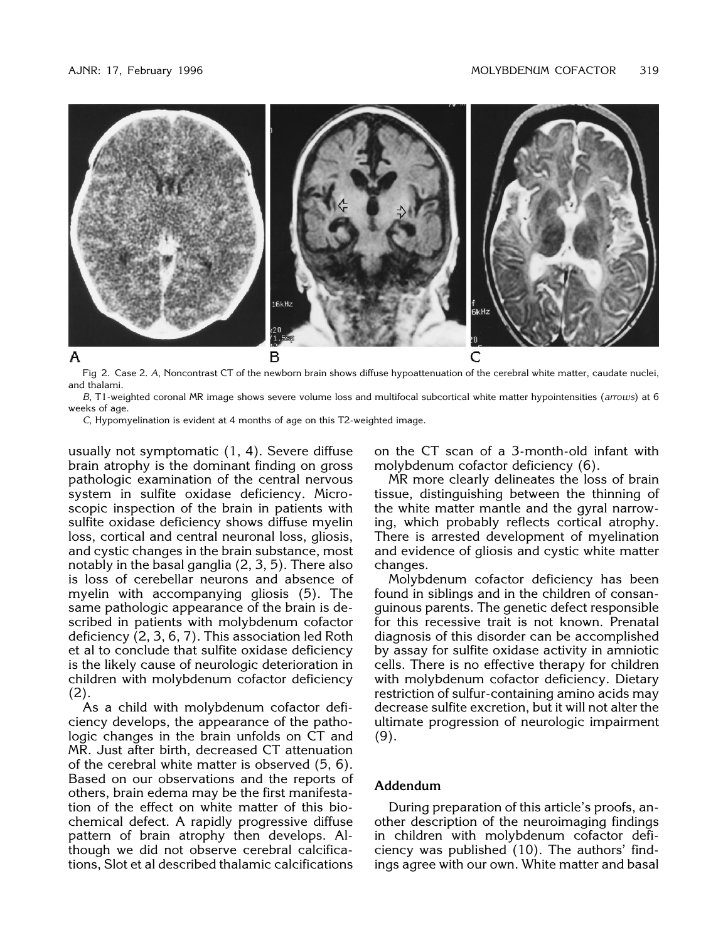

Fig 2. Case 2. *A*, Noncontrast CT of the newborn brain shows diffuse hypoattenuation of the cerebral white matter, caudate nuclei, and thalami.

*B*, T1-weighted coronal MR image shows severe volume loss and multifocal subcortical white matter hypointensities (*arrows*) at 6 weeks of age.

*C*, Hypomyelination is evident at 4 months of age on this T2-weighted image.

usually not symptomatic (1, 4). Severe diffuse brain atrophy is the dominant finding on gross pathologic examination of the central nervous system in sulfite oxidase deficiency. Microscopic inspection of the brain in patients with sulfite oxidase deficiency shows diffuse myelin loss, cortical and central neuronal loss, gliosis, and cystic changes in the brain substance, most notably in the basal ganglia (2, 3, 5). There also is loss of cerebellar neurons and absence of myelin with accompanying gliosis (5). The same pathologic appearance of the brain is described in patients with molybdenum cofactor deficiency (2, 3, 6, 7). This association led Roth et al to conclude that sulfite oxidase deficiency is the likely cause of neurologic deterioration in children with molybdenum cofactor deficiency (2).

As a child with molybdenum cofactor deficiency develops, the appearance of the pathologic changes in the brain unfolds on CT and MR. Just after birth, decreased CT attenuation of the cerebral white matter is observed (5, 6). Based on our observations and the reports of others, brain edema may be the first manifestation of the effect on white matter of this biochemical defect. A rapidly progressive diffuse pattern of brain atrophy then develops. Although we did not observe cerebral calcifications, Slot et al described thalamic calcifications

on the CT scan of a 3-month-old infant with molybdenum cofactor deficiency (6).

MR more clearly delineates the loss of brain tissue, distinguishing between the thinning of the white matter mantle and the gyral narrowing, which probably reflects cortical atrophy. There is arrested development of myelination and evidence of gliosis and cystic white matter changes.

Molybdenum cofactor deficiency has been found in siblings and in the children of consanguinous parents. The genetic defect responsible for this recessive trait is not known. Prenatal diagnosis of this disorder can be accomplished by assay for sulfite oxidase activity in amniotic cells. There is no effective therapy for children with molybdenum cofactor deficiency. Dietary restriction of sulfur-containing amino acids may decrease sulfite excretion, but it will not alter the ultimate progression of neurologic impairment (9).

# **Addendum**

During preparation of this article's proofs, another description of the neuroimaging findings in children with molybdenum cofactor deficiency was published (10). The authors' findings agree with our own. White matter and basal